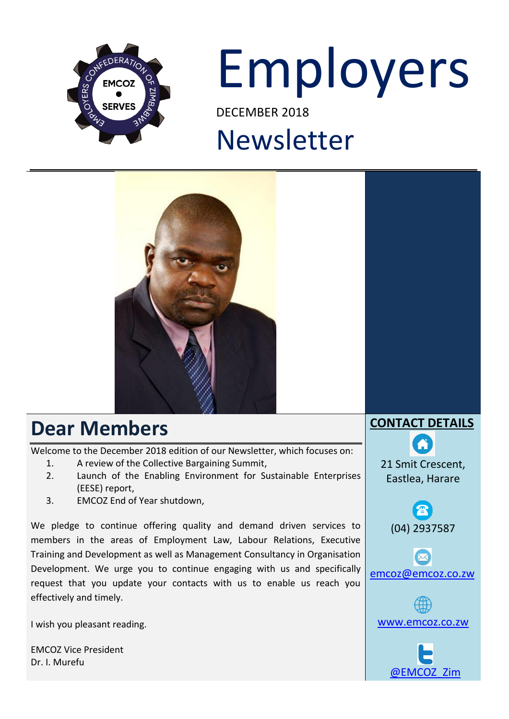

# Employers

DECEMBER 2018

## Newsletter



### **Dear Members**

Welcome to the December 2018 edition of our Newsletter, which focuses on:

- 1. A review of the Collective Bargaining Summit,
- 2. Launch of the Enabling Environment for Sustainable Enterprises (EESE) report,
- 3. EMCOZ End of Year shutdown,

We pledge to continue offering quality and demand driven services to members in the areas of Employment Law, Labour Relations, Executive Training and Development as well as Management Consultancy in Organisation Development. We urge you to continue engaging with us and specifically request that you update your contacts with us to enable us reach you effectively and timely.

I wish you pleasant reading.

EMCOZ Vice President Dr. I. Murefu

#### **CONTACT DETAILS**







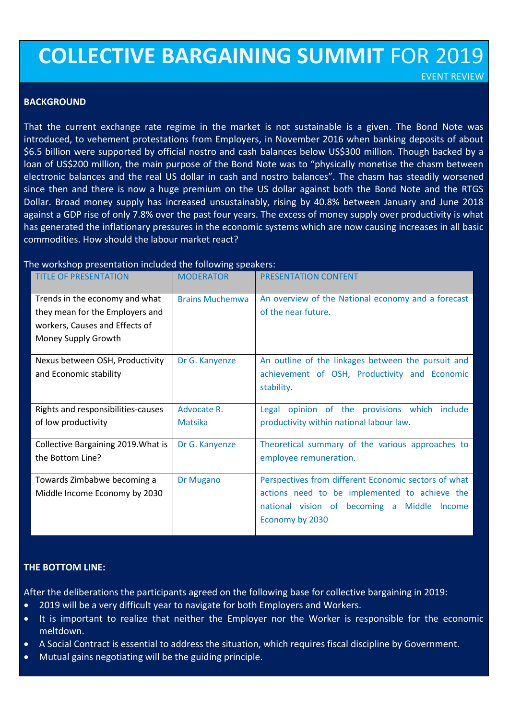## **COLLECTIVE BARGAINING SUMMIT** FOR 2019

#### EVENT REVIEW

#### **BACKGROUND**

That the current exchange rate regime in the market is not sustainable is a given. The Bond Note was introduced, to vehement protestations from Employers, in November 2016 when banking deposits of about \$6.5 billion were supported by official nostro and cash balances below US\$300 million. Though backed by a loan of US\$200 million, the main purpose of the Bond Note was to "physically monetise the chasm between electronic balances and the real US dollar in cash and nostro balances". The chasm has steadily worsened since then and there is now a huge premium on the US dollar against both the Bond Note and the RTGS Dollar. Broad money supply has increased unsustainably, rising by 40.8% between January and June 2018 against a GDP rise of only 7.8% over the past four years. The excess of money supply over productivity is what has generated the inflationary pressures in the economic systems which are now causing increases in all basic commodities. How should the labour market react?

#### TITLE OF PRESENTATION MODERATOR PRESENTATION CONTENT Trends in the economy and what they mean for the Employers and workers, Causes and Effects of Money Supply Growth Brains Muchemwa  $\parallel$  An overview of the National economy and a forecast of the near future. Nexus between OSH, Productivity and Economic stability Dr G. Kanyenze  $\blacksquare$  An outline of the linkages between the pursuit and achievement of OSH, Productivity and Economic stability. Rights and responsibilities-causes of low productivity Advocate R. Matsika Legal opinion of the provisions which include productivity within national labour law. Collective Bargaining 2019.What is the Bottom Line? Dr G. Kanyenze  $\Box$  Theoretical summary of the various approaches to employee remuneration. Towards Zimbabwe becoming a Middle Income Economy by 2030 Dr Mugano Perspectives from different Economic sectors of what actions need to be implemented to achieve the national vision of becoming a Middle Income Economy by 2030

#### The workshop presentation included the following speakers:

#### **THE BOTTOM LINE:**

After the deliberations the participants agreed on the following base for collective bargaining in 2019:

- 2019 will be a very difficult year to navigate for both Employers and Workers.
- It is important to realize that neither the Employer nor the Worker is responsible for the economic meltdown.
- A Social Contract is essential to address the situation, which requires fiscal discipline by Government.
- Mutual gains negotiating will be the guiding principle.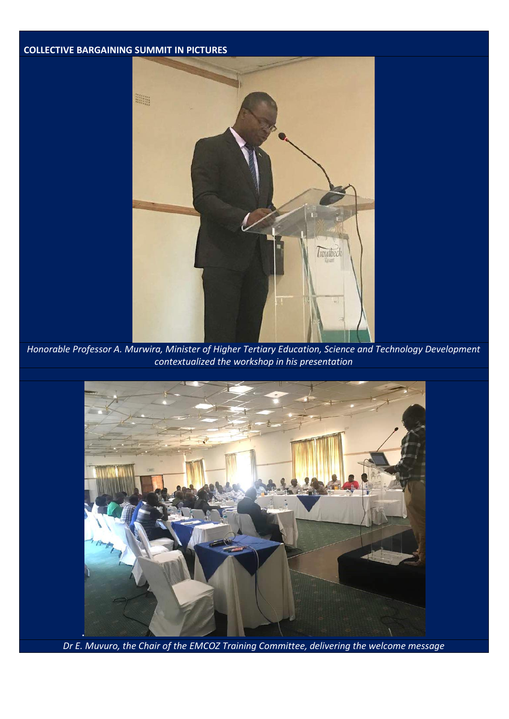#### **COLLECTIVE BARGAINING SUMMIT IN PICTURES**



*Honorable Professor A. Murwira, Minister of Higher Tertiary Education, Science and Technology Development contextualized the workshop in his presentation*



*Dr E. Muvuro, the Chair of the EMCOZ Training Committee, delivering the welcome message*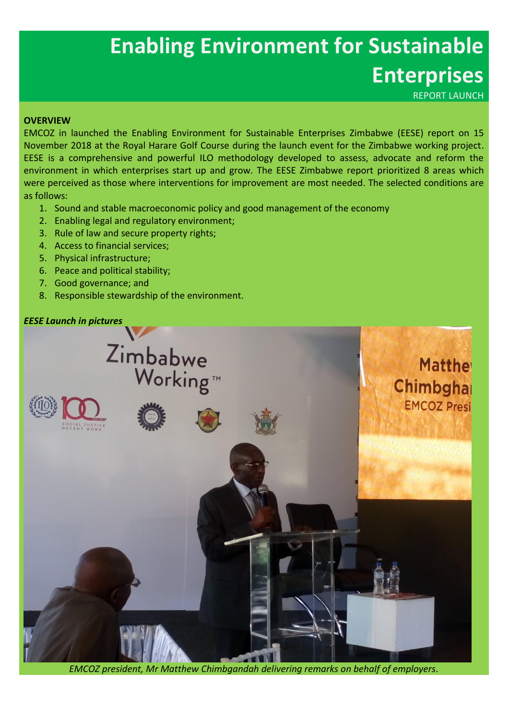# **Enabling Environment for Sustainable Enterprises**

REPORT LAUNCH

#### **OVERVIEW**

EMCOZ in launched the Enabling Environment for Sustainable Enterprises Zimbabwe (EESE) report on 15 November 2018 at the Royal Harare Golf Course during the launch event for the Zimbabwe working project. EESE is a comprehensive and powerful ILO methodology developed to assess, advocate and reform the environment in which enterprises start up and grow. The EESE Zimbabwe report prioritized 8 areas which were perceived as those where interventions for improvement are most needed. The selected conditions are as follows:

- 1. Sound and stable macroeconomic policy and good management of the economy
- 2. Enabling legal and regulatory environment;
- 3. Rule of law and secure property rights;
- 4. Access to financial services;
- 5. Physical infrastructure;
- 6. Peace and political stability;
- 7. Good governance; and
- 8. Responsible stewardship of the environment.

#### *EESE Launch in pictures*



*EMCOZ president, Mr Matthew Chimbgandah delivering remarks on behalf of employers.*